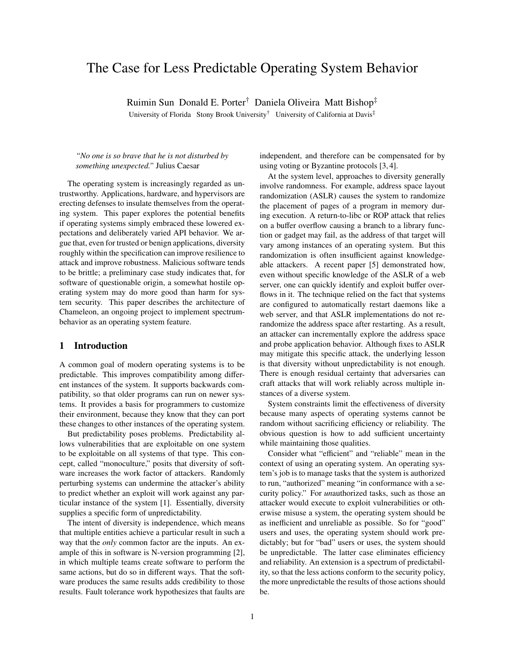# The Case for Less Predictable Operating System Behavior

Ruimin Sun Donald E. Porter† Daniela Oliveira Matt Bishop‡

University of Florida Stony Brook University† University of California at Davis‡

#### *"No one is so brave that he is not disturbed by something unexpected."* Julius Caesar

The operating system is increasingly regarded as untrustworthy. Applications, hardware, and hypervisors are erecting defenses to insulate themselves from the operating system. This paper explores the potential benefits if operating systems simply embraced these lowered expectations and deliberately varied API behavior. We argue that, even for trusted or benign applications, diversity roughly within the specification can improve resilience to attack and improve robustness. Malicious software tends to be brittle; a preliminary case study indicates that, for software of questionable origin, a somewhat hostile operating system may do more good than harm for system security. This paper describes the architecture of Chameleon, an ongoing project to implement spectrumbehavior as an operating system feature.

#### 1 Introduction

A common goal of modern operating systems is to be predictable. This improves compatibility among different instances of the system. It supports backwards compatibility, so that older programs can run on newer systems. It provides a basis for programmers to customize their environment, because they know that they can port these changes to other instances of the operating system.

But predictability poses problems. Predictability allows vulnerabilities that are exploitable on one system to be exploitable on all systems of that type. This concept, called "monoculture," posits that diversity of software increases the work factor of attackers. Randomly perturbing systems can undermine the attacker's ability to predict whether an exploit will work against any particular instance of the system [1]. Essentially, diversity supplies a specific form of unpredictability.

The intent of diversity is independence, which means that multiple entities achieve a particular result in such a way that the *only* common factor are the inputs. An example of this in software is N-version programming [2], in which multiple teams create software to perform the same actions, but do so in different ways. That the software produces the same results adds credibility to those results. Fault tolerance work hypothesizes that faults are independent, and therefore can be compensated for by using voting or Byzantine protocols [3, 4].

At the system level, approaches to diversity generally involve randomness. For example, address space layout randomization (ASLR) causes the system to randomize the placement of pages of a program in memory during execution. A return-to-libc or ROP attack that relies on a buffer overflow causing a branch to a library function or gadget may fail, as the address of that target will vary among instances of an operating system. But this randomization is often insufficient against knowledgeable attackers. A recent paper [5] demonstrated how, even without specific knowledge of the ASLR of a web server, one can quickly identify and exploit buffer overflows in it. The technique relied on the fact that systems are configured to automatically restart daemons like a web server, and that ASLR implementations do not rerandomize the address space after restarting. As a result, an attacker can incrementally explore the address space and probe application behavior. Although fixes to ASLR may mitigate this specific attack, the underlying lesson is that diversity without unpredictability is not enough. There is enough residual certainty that adversaries can craft attacks that will work reliably across multiple instances of a diverse system.

System constraints limit the effectiveness of diversity because many aspects of operating systems cannot be random without sacrificing efficiency or reliability. The obvious question is how to add sufficient uncertainty while maintaining those qualities.

Consider what "efficient" and "reliable" mean in the context of using an operating system. An operating system's job is to manage tasks that the system is authorized to run, "authorized" meaning "in conformance with a security policy." For *un*authorized tasks, such as those an attacker would execute to exploit vulnerabilities or otherwise misuse a system, the operating system should be as inefficient and unreliable as possible. So for "good" users and uses, the operating system should work predictably; but for "bad" users or uses, the system should be unpredictable. The latter case eliminates efficiency and reliability. An extension is a spectrum of predictability, so that the less actions conform to the security policy, the more unpredictable the results of those actions should be.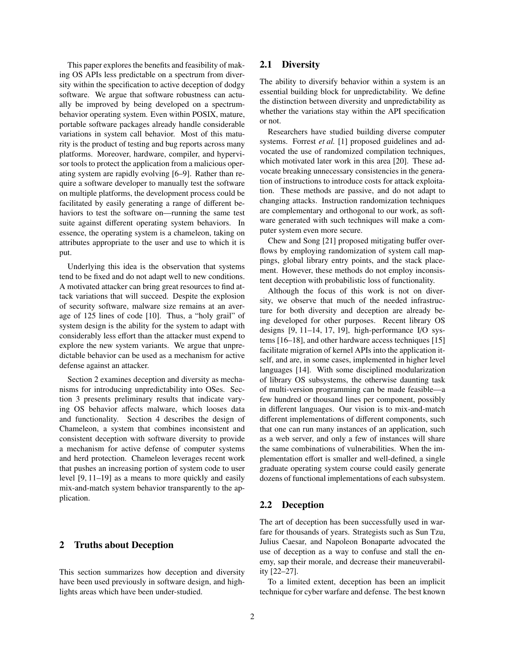This paper explores the benefits and feasibility of making OS APIs less predictable on a spectrum from diversity within the specification to active deception of dodgy software. We argue that software robustness can actually be improved by being developed on a spectrumbehavior operating system. Even within POSIX, mature, portable software packages already handle considerable variations in system call behavior. Most of this maturity is the product of testing and bug reports across many platforms. Moreover, hardware, compiler, and hypervisor tools to protect the application from a malicious operating system are rapidly evolving [6–9]. Rather than require a software developer to manually test the software on multiple platforms, the development process could be facilitated by easily generating a range of different behaviors to test the software on—running the same test suite against different operating system behaviors. In essence, the operating system is a chameleon, taking on attributes appropriate to the user and use to which it is put.

Underlying this idea is the observation that systems tend to be fixed and do not adapt well to new conditions. A motivated attacker can bring great resources to find attack variations that will succeed. Despite the explosion of security software, malware size remains at an average of 125 lines of code [10]. Thus, a "holy grail" of system design is the ability for the system to adapt with considerably less effort than the attacker must expend to explore the new system variants. We argue that unpredictable behavior can be used as a mechanism for active defense against an attacker.

Section 2 examines deception and diversity as mechanisms for introducing unpredictability into OSes. Section 3 presents preliminary results that indicate varying OS behavior affects malware, which looses data and functionality. Section 4 describes the design of Chameleon, a system that combines inconsistent and consistent deception with software diversity to provide a mechanism for active defense of computer systems and herd protection. Chameleon leverages recent work that pushes an increasing portion of system code to user level [9, 11–19] as a means to more quickly and easily mix-and-match system behavior transparently to the application.

## 2 Truths about Deception

This section summarizes how deception and diversity have been used previously in software design, and highlights areas which have been under-studied.

# 2.1 Diversity

The ability to diversify behavior within a system is an essential building block for unpredictability. We define the distinction between diversity and unpredictability as whether the variations stay within the API specification or not.

Researchers have studied building diverse computer systems. Forrest *et al.* [1] proposed guidelines and advocated the use of randomized compilation techniques, which motivated later work in this area [20]. These advocate breaking unnecessary consistencies in the generation of instructions to introduce costs for attack exploitation. These methods are passive, and do not adapt to changing attacks. Instruction randomization techniques are complementary and orthogonal to our work, as software generated with such techniques will make a computer system even more secure.

Chew and Song [21] proposed mitigating buffer overflows by employing randomization of system call mappings, global library entry points, and the stack placement. However, these methods do not employ inconsistent deception with probabilistic loss of functionality.

Although the focus of this work is not on diversity, we observe that much of the needed infrastructure for both diversity and deception are already being developed for other purposes. Recent library OS designs [9, 11–14, 17, 19], high-performance I/O systems [16–18], and other hardware access techniques [15] facilitate migration of kernel APIs into the application itself, and are, in some cases, implemented in higher level languages [14]. With some disciplined modularization of library OS subsystems, the otherwise daunting task of multi-version programming can be made feasible—a few hundred or thousand lines per component, possibly in different languages. Our vision is to mix-and-match different implementations of different components, such that one can run many instances of an application, such as a web server, and only a few of instances will share the same combinations of vulnerabilities. When the implementation effort is smaller and well-defined, a single graduate operating system course could easily generate dozens of functional implementations of each subsystem.

## 2.2 Deception

The art of deception has been successfully used in warfare for thousands of years. Strategists such as Sun Tzu, Julius Caesar, and Napoleon Bonaparte advocated the use of deception as a way to confuse and stall the enemy, sap their morale, and decrease their maneuverability [22–27].

To a limited extent, deception has been an implicit technique for cyber warfare and defense. The best known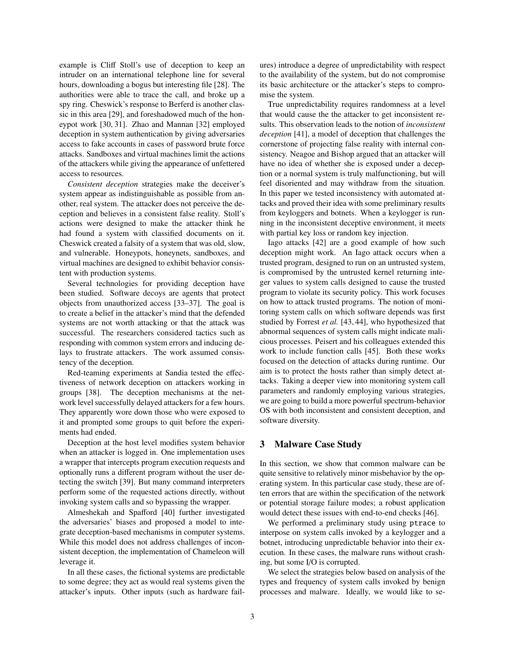example is Cliff Stoll's use of deception to keep an intruder on an international telephone line for several hours, downloading a bogus but interesting file [28]. The authorities were able to trace the call, and broke up a spy ring. Cheswick's response to Berferd is another classic in this area [29], and foreshadowed much of the honeypot work [30, 31]. Zhao and Mannan [32] employed deception in system authentication by giving adversaries access to fake accounts in cases of password brute force attacks. Sandboxes and virtual machines limit the actions of the attackers while giving the appearance of unfettered access to resources.

*Consistent deception* strategies make the deceiver's system appear as indistinguishable as possible from another, real system. The attacker does not perceive the deception and believes in a consistent false reality. Stoll's actions were designed to make the attacker think he had found a system with classified documents on it. Cheswick created a falsity of a system that was old, slow, and vulnerable. Honeypots, honeynets, sandboxes, and virtual machines are designed to exhibit behavior consistent with production systems.

Several technologies for providing deception have been studied. Software decoys are agents that protect objects from unauthorized access [33–37]. The goal is to create a belief in the attacker's mind that the defended systems are not worth attacking or that the attack was successful. The researchers considered tactics such as responding with common system errors and inducing delays to frustrate attackers. The work assumed consistency of the deception.

Red-teaming experiments at Sandia tested the effectiveness of network deception on attackers working in groups [38]. The deception mechanisms at the network level successfully delayed attackers for a few hours. They apparently wore down those who were exposed to it and prompted some groups to quit before the experiments had ended.

Deception at the host level modifies system behavior when an attacker is logged in. One implementation uses a wrapper that intercepts program execution requests and optionally runs a different program without the user detecting the switch [39]. But many command interpreters perform some of the requested actions directly, without invoking system calls and so bypassing the wrapper.

Almeshekah and Spafford [40] further investigated the adversaries' biases and proposed a model to integrate deception-based mechanisms in computer systems. While this model does not address challenges of inconsistent deception, the implementation of Chameleon will leverage it.

In all these cases, the fictional systems are predictable to some degree; they act as would real systems given the attacker's inputs. Other inputs (such as hardware failures) introduce a degree of unpredictability with respect to the availability of the system, but do not compromise its basic architecture or the attacker's steps to compromise the system.

True unpredictability requires randomness at a level that would cause the the attacker to get inconsistent results. This observation leads to the notion of *inconsistent deception* [41], a model of deception that challenges the cornerstone of projecting false reality with internal consistency. Neagoe and Bishop argued that an attacker will have no idea of whether she is exposed under a deception or a normal system is truly malfunctioning, but will feel disoriented and may withdraw from the situation. In this paper we tested inconsistency with automated attacks and proved their idea with some preliminary results from keyloggers and botnets. When a keylogger is running in the inconsistent deceptive environment, it meets with partial key loss or random key injection.

Iago attacks [42] are a good example of how such deception might work. An Iago attack occurs when a trusted program, designed to run on an untrusted system, is compromised by the untrusted kernel returning integer values to system calls designed to cause the trusted program to violate its security policy. This work focuses on how to attack trusted programs. The notion of monitoring system calls on which software depends was first studied by Forrest *et al.* [43, 44], who hypothesized that abnormal sequences of system calls might indicate malicious processes. Peisert and his colleagues extended this work to include function calls [45]. Both these works focused on the detection of attacks during runtime. Our aim is to protect the hosts rather than simply detect attacks. Taking a deeper view into monitoring system call parameters and randomly employing various strategies, we are going to build a more powerful spectrum-behavior OS with both inconsistent and consistent deception, and software diversity.

## 3 Malware Case Study

In this section, we show that common malware can be quite sensitive to relatively minor misbehavior by the operating system. In this particular case study, these are often errors that are within the specification of the network or potential storage failure modes; a robust application would detect these issues with end-to-end checks [46].

We performed a preliminary study using ptrace to interpose on system calls invoked by a keylogger and a botnet, introducing unpredictable behavior into their execution. In these cases, the malware runs without crashing, but some I/O is corrupted.

We select the strategies below based on analysis of the types and frequency of system calls invoked by benign processes and malware. Ideally, we would like to se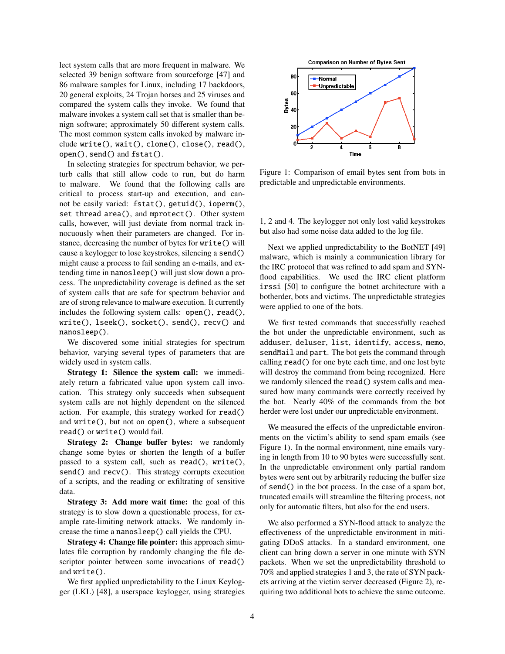lect system calls that are more frequent in malware. We selected 39 benign software from sourceforge [47] and 86 malware samples for Linux, including 17 backdoors, 20 general exploits, 24 Trojan horses and 25 viruses and compared the system calls they invoke. We found that malware invokes a system call set that is smaller than benign software; approximately 50 different system calls. The most common system calls invoked by malware include write(), wait(), clone(), close(), read(), open(), send() and fstat().

In selecting strategies for spectrum behavior, we perturb calls that still allow code to run, but do harm to malware. We found that the following calls are critical to process start-up and execution, and cannot be easily varied: fstat(), getuid(), ioperm(), set\_thread\_area(), and mprotect(). Other system calls, however, will just deviate from normal track innocuously when their parameters are changed. For instance, decreasing the number of bytes for write() will cause a keylogger to lose keystrokes, silencing a send() might cause a process to fail sending an e-mails, and extending time in nanosleep() will just slow down a process. The unpredictability coverage is defined as the set of system calls that are safe for spectrum behavior and are of strong relevance to malware execution. It currently includes the following system calls: open(), read(), write(), lseek(), socket(), send(), recv() and nanosleep().

We discovered some initial strategies for spectrum behavior, varying several types of parameters that are widely used in system calls.

Strategy 1: Silence the system call: we immediately return a fabricated value upon system call invocation. This strategy only succeeds when subsequent system calls are not highly dependent on the silenced action. For example, this strategy worked for read() and write(), but not on open(), where a subsequent read() or write() would fail.

Strategy 2: Change buffer bytes: we randomly change some bytes or shorten the length of a buffer passed to a system call, such as read(), write(), send() and recv(). This strategy corrupts execution of a scripts, and the reading or exfiltrating of sensitive data.

Strategy 3: Add more wait time: the goal of this strategy is to slow down a questionable process, for example rate-limiting network attacks. We randomly increase the time a nanosleep() call yields the CPU.

Strategy 4: Change file pointer: this approach simulates file corruption by randomly changing the file descriptor pointer between some invocations of read() and write().

We first applied unpredictability to the Linux Keylogger (LKL) [48], a userspace keylogger, using strategies



Figure 1: Comparison of email bytes sent from bots in predictable and unpredictable environments.

1, 2 and 4. The keylogger not only lost valid keystrokes but also had some noise data added to the log file.

Next we applied unpredictability to the BotNET [49] malware, which is mainly a communication library for the IRC protocol that was refined to add spam and SYNflood capabilities. We used the IRC client platform irssi [50] to configure the botnet architecture with a botherder, bots and victims. The unpredictable strategies were applied to one of the bots.

We first tested commands that successfully reached the bot under the unpredictable environment, such as adduser, deluser, list, identify, access, memo, sendMail and part. The bot gets the command through calling read() for one byte each time, and one lost byte will destroy the command from being recognized. Here we randomly silenced the read() system calls and measured how many commands were correctly received by the bot. Nearly 40% of the commands from the bot herder were lost under our unpredictable environment.

We measured the effects of the unpredictable environments on the victim's ability to send spam emails (see Figure 1). In the normal environment, nine emails varying in length from 10 to 90 bytes were successfully sent. In the unpredictable environment only partial random bytes were sent out by arbitrarily reducing the buffer size of send() in the bot process. In the case of a spam bot, truncated emails will streamline the filtering process, not only for automatic filters, but also for the end users.

We also performed a SYN-flood attack to analyze the effectiveness of the unpredictable environment in mitigating DDoS attacks. In a standard environment, one client can bring down a server in one minute with SYN packets. When we set the unpredictability threshold to 70% and applied strategies 1 and 3, the rate of SYN packets arriving at the victim server decreased (Figure 2), requiring two additional bots to achieve the same outcome.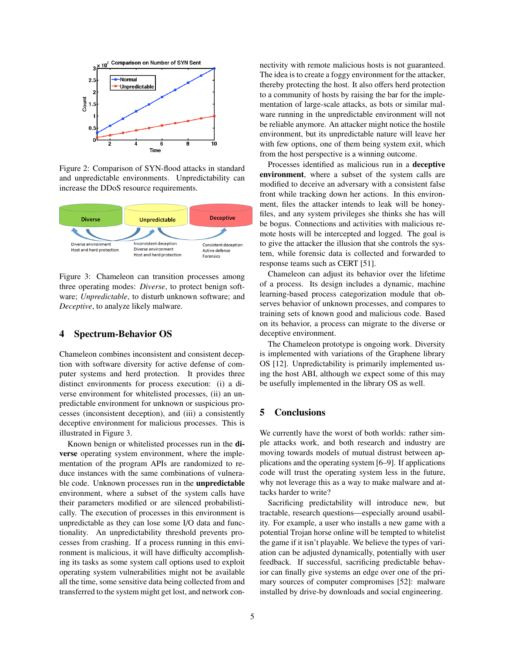

Figure 2: Comparison of SYN-flood attacks in standard and unpredictable environments. Unpredictability can increase the DDoS resource requirements.



Figure 3: Chameleon can transition processes among three operating modes: *Diverse*, to protect benign software; *Unpredictable*, to disturb unknown software; and *Deceptive*, to analyze likely malware.

## 4 Spectrum-Behavior OS

Chameleon combines inconsistent and consistent deception with software diversity for active defense of computer systems and herd protection. It provides three distinct environments for process execution: (i) a diverse environment for whitelisted processes, (ii) an unpredictable environment for unknown or suspicious processes (inconsistent deception), and (iii) a consistently deceptive environment for malicious processes. This is illustrated in Figure 3.

Known benign or whitelisted processes run in the diverse operating system environment, where the implementation of the program APIs are randomized to reduce instances with the same combinations of vulnerable code. Unknown processes run in the unpredictable environment, where a subset of the system calls have their parameters modified or are silenced probabilistically. The execution of processes in this environment is unpredictable as they can lose some I/O data and functionality. An unpredictability threshold prevents processes from crashing. If a process running in this environment is malicious, it will have difficulty accomplishing its tasks as some system call options used to exploit operating system vulnerabilities might not be available all the time, some sensitive data being collected from and transferred to the system might get lost, and network connectivity with remote malicious hosts is not guaranteed. The idea is to create a foggy environment for the attacker, thereby protecting the host. It also offers herd protection to a community of hosts by raising the bar for the implementation of large-scale attacks, as bots or similar malware running in the unpredictable environment will not be reliable anymore. An attacker might notice the hostile environment, but its unpredictable nature will leave her with few options, one of them being system exit, which from the host perspective is a winning outcome.

Processes identified as malicious run in a deceptive environment, where a subset of the system calls are modified to deceive an adversary with a consistent false front while tracking down her actions. In this environment, files the attacker intends to leak will be honeyfiles, and any system privileges she thinks she has will be bogus. Connections and activities with malicious remote hosts will be intercepted and logged. The goal is to give the attacker the illusion that she controls the system, while forensic data is collected and forwarded to response teams such as CERT [51].

Chameleon can adjust its behavior over the lifetime of a process. Its design includes a dynamic, machine learning-based process categorization module that observes behavior of unknown processes, and compares to training sets of known good and malicious code. Based on its behavior, a process can migrate to the diverse or deceptive environment.

The Chameleon prototype is ongoing work. Diversity is implemented with variations of the Graphene library OS [12]. Unpredictability is primarily implemented using the host ABI, although we expect some of this may be usefully implemented in the library OS as well.

## 5 Conclusions

We currently have the worst of both worlds: rather simple attacks work, and both research and industry are moving towards models of mutual distrust between applications and the operating system [6–9]. If applications code will trust the operating system less in the future, why not leverage this as a way to make malware and attacks harder to write?

Sacrificing predictability will introduce new, but tractable, research questions—especially around usability. For example, a user who installs a new game with a potential Trojan horse online will be tempted to whitelist the game if it isn't playable. We believe the types of variation can be adjusted dynamically, potentially with user feedback. If successful, sacrificing predictable behavior can finally give systems an edge over one of the primary sources of computer compromises [52]: malware installed by drive-by downloads and social engineering.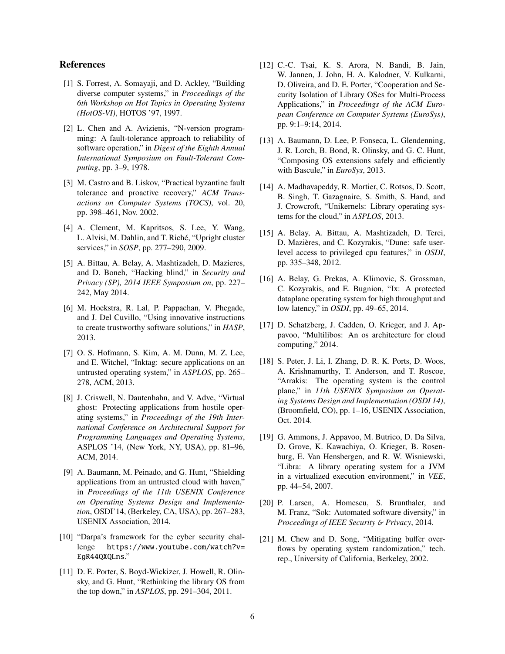# References

- [1] S. Forrest, A. Somayaji, and D. Ackley, "Building diverse computer systems," in *Proceedings of the 6th Workshop on Hot Topics in Operating Systems (HotOS-VI)*, HOTOS '97, 1997.
- [2] L. Chen and A. Avizienis, "N-version programming: A fault-tolerance approach to reliability of software operation," in *Digest of the Eighth Annual International Symposium on Fault-Tolerant Computing*, pp. 3–9, 1978.
- [3] M. Castro and B. Liskov, "Practical byzantine fault tolerance and proactive recovery," *ACM Transactions on Computer Systems (TOCS)*, vol. 20, pp. 398–461, Nov. 2002.
- [4] A. Clement, M. Kapritsos, S. Lee, Y. Wang, L. Alvisi, M. Dahlin, and T. Riche, "Upright cluster ´ services," in *SOSP*, pp. 277–290, 2009.
- [5] A. Bittau, A. Belay, A. Mashtizadeh, D. Mazieres, and D. Boneh, "Hacking blind," in *Security and Privacy (SP), 2014 IEEE Symposium on*, pp. 227– 242, May 2014.
- [6] M. Hoekstra, R. Lal, P. Pappachan, V. Phegade, and J. Del Cuvillo, "Using innovative instructions to create trustworthy software solutions," in *HASP*, 2013.
- [7] O. S. Hofmann, S. Kim, A. M. Dunn, M. Z. Lee, and E. Witchel, "Inktag: secure applications on an untrusted operating system," in *ASPLOS*, pp. 265– 278, ACM, 2013.
- [8] J. Criswell, N. Dautenhahn, and V. Adve, "Virtual ghost: Protecting applications from hostile operating systems," in *Proceedings of the 19th International Conference on Architectural Support for Programming Languages and Operating Systems*, ASPLOS '14, (New York, NY, USA), pp. 81–96, ACM, 2014.
- [9] A. Baumann, M. Peinado, and G. Hunt, "Shielding applications from an untrusted cloud with haven," in *Proceedings of the 11th USENIX Conference on Operating Systems Design and Implementation*, OSDI'14, (Berkeley, CA, USA), pp. 267–283, USENIX Association, 2014.
- [10] "Darpa's framework for the cyber security challenge https://www.youtube.com/watch?v= EgR44QXQLns."
- [11] D. E. Porter, S. Boyd-Wickizer, J. Howell, R. Olinsky, and G. Hunt, "Rethinking the library OS from the top down," in *ASPLOS*, pp. 291–304, 2011.
- [12] C.-C. Tsai, K. S. Arora, N. Bandi, B. Jain, W. Jannen, J. John, H. A. Kalodner, V. Kulkarni, D. Oliveira, and D. E. Porter, "Cooperation and Security Isolation of Library OSes for Multi-Process Applications," in *Proceedings of the ACM European Conference on Computer Systems (EuroSys)*, pp. 9:1–9:14, 2014.
- [13] A. Baumann, D. Lee, P. Fonseca, L. Glendenning, J. R. Lorch, B. Bond, R. Olinsky, and G. C. Hunt, "Composing OS extensions safely and efficiently with Bascule," in *EuroSys*, 2013.
- [14] A. Madhavapeddy, R. Mortier, C. Rotsos, D. Scott, B. Singh, T. Gazagnaire, S. Smith, S. Hand, and J. Crowcroft, "Unikernels: Library operating systems for the cloud," in *ASPLOS*, 2013.
- [15] A. Belay, A. Bittau, A. Mashtizadeh, D. Terei, D. Mazières, and C. Kozyrakis, "Dune: safe userlevel access to privileged cpu features," in *OSDI*, pp. 335–348, 2012.
- [16] A. Belay, G. Prekas, A. Klimovic, S. Grossman, C. Kozyrakis, and E. Bugnion, "Ix: A protected dataplane operating system for high throughput and low latency," in *OSDI*, pp. 49–65, 2014.
- [17] D. Schatzberg, J. Cadden, O. Krieger, and J. Appavoo, "Multilibos: An os architecture for cloud computing," 2014.
- [18] S. Peter, J. Li, I. Zhang, D. R. K. Ports, D. Woos, A. Krishnamurthy, T. Anderson, and T. Roscoe, "Arrakis: The operating system is the control plane," in *11th USENIX Symposium on Operating Systems Design and Implementation (OSDI 14)*, (Broomfield, CO), pp. 1–16, USENIX Association, Oct. 2014.
- [19] G. Ammons, J. Appavoo, M. Butrico, D. Da Silva, D. Grove, K. Kawachiya, O. Krieger, B. Rosenburg, E. Van Hensbergen, and R. W. Wisniewski, "Libra: A library operating system for a JVM in a virtualized execution environment," in *VEE*, pp. 44–54, 2007.
- [20] P. Larsen, A. Homescu, S. Brunthaler, and M. Franz, "Sok: Automated software diversity," in *Proceedings of IEEE Security* & *Privacy*, 2014.
- [21] M. Chew and D. Song, "Mitigating buffer overflows by operating system randomization," tech. rep., University of California, Berkeley, 2002.